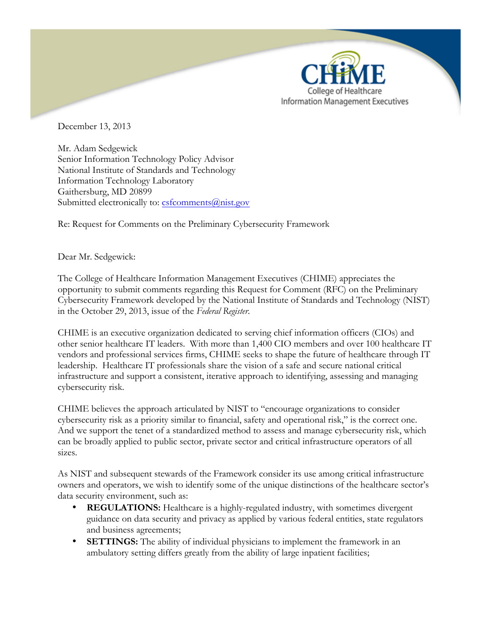

December 13, 2013

Submitted electronically to:  $cscromments@nist.gov$ Mr. Adam Sedgewick Senior Information Technology Policy Advisor National Institute of Standards and Technology Information Technology Laboratory Gaithersburg, MD 20899

Re: Request for Comments on the Preliminary Cybersecurity Framework

### Dear Mr. Sedgewick:

 in the October 29, 2013, issue of the *Federal Register*. The College of Healthcare Information Management Executives (CHIME) appreciates the opportunity to submit comments regarding this Request for Comment (RFC) on the Preliminary Cybersecurity Framework developed by the National Institute of Standards and Technology (NIST)

 CHIME is an executive organization dedicated to serving chief information officers (CIOs) and other senior healthcare IT leaders. With more than 1,400 CIO members and over 100 healthcare IT vendors and professional services firms, CHIME seeks to shape the future of healthcare through IT leadership. Healthcare IT professionals share the vision of a safe and secure national critical infrastructure and support a consistent, iterative approach to identifying, assessing and managing cybersecurity risk.

 CHIME believes the approach articulated by NIST to "encourage organizations to consider cybersecurity risk as a priority similar to financial, safety and operational risk," is the correct one. cybersecurity risk as a priority similar to financial, safety and operational risk," is the correct one. And we support the tenet of a standardized method to assess and manage cybersecurity risk, which can be broadly applied to public sector, private sector and critical infrastructure operators of all sizes.

As NIST and subsequent stewards of the Framework consider its use among critical infrastructure owners and operators, we wish to identify some of the unique distinctions of the healthcare sector's data security environment, such as:

- **REGULATIONS:** Healthcare is a highly-regulated industry, with sometimes divergent guidance on data security and privacy as applied by various federal entities, state regulators and business agreements;
- • **SETTINGS:** The ability of individual physicians to implement the framework in an ambulatory setting differs greatly from the ability of large inpatient facilities;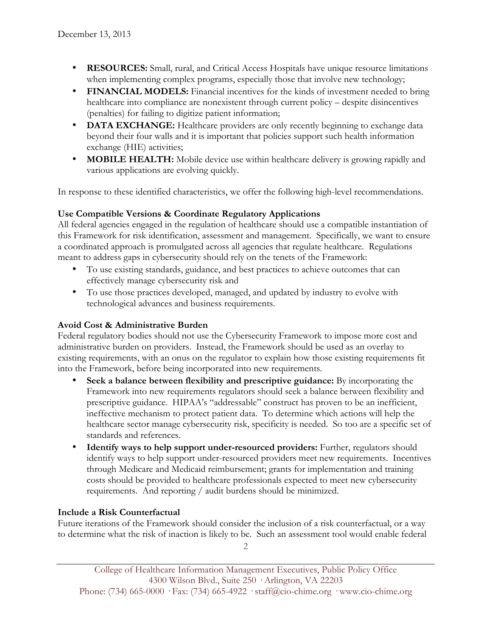- • **RESOURCES:** Small, rural, and Critical Access Hospitals have unique resource limitations when implementing complex programs, especially those that involve new technology;
- healthcare into compliance are nonexistent through current policy despite disincentives • FINANCIAL MODELS: Financial incentives for the kinds of investment needed to bring (penalties) for failing to digitize patient information;
- exchange (HIE) activities; • **DATA EXCHANGE:** Healthcare providers are only recently beginning to exchange data beyond their four walls and it is important that policies support such health information
- **MOBILE HEALTH:** Mobile device use within healthcare delivery is growing rapidly and various applications are evolving quickly.

In response to these identified characteristics, we offer the following high-level recommendations.

# **Use Compatible Versions & Coordinate Regulatory Applications**

 this Framework for risk identification, assessment and management. Specifically, we want to ensure a coordinated approach is promulgated across all agencies that regulate healthcare. Regulations meant to address gaps in cybersecurity should rely on the tenets of the Framework: All federal agencies engaged in the regulation of healthcare should use a compatible instantiation of

- To use existing standards, guidance, and best practices to achieve outcomes that can effectively manage cybersecurity risk and
- To use those practices developed, managed, and updated by industry to evolve with technological advances and business requirements.

## **Avoid Cost & Administrative Burden**

 administrative burden on providers. Instead, the Framework should be used as an overlay to Federal regulatory bodies should not use the Cybersecurity Framework to impose more cost and existing requirements, with an onus on the regulator to explain how those existing requirements fit into the Framework, before being incorporated into new requirements.

- **Seek a balance between flexibility and prescriptive guidance:** By incorporating the Framework into new requirements regulators should seek a balance between flexibility and prescriptive guidance. HIPAA's "addressable" construct has proven to be an inefficient, ineffective mechanism to protect patient data. To determine which actions will help the healthcare sector manage cybersecurity risk, specificity is needed. So too are a specific set of standards and references.
- **Identify ways to help support under-resourced providers:** Further, regulators should identify ways to help support under-resourced providers meet new requirements. Incentives through Medicare and Medicaid reimbursement; grants for implementation and training costs should be provided to healthcare professionals expected to meet new cybersecurity requirements. And reporting / audit burdens should be minimized.

### **Include a Risk Counterfactual**

Future iterations of the Framework should consider the inclusion of a risk counterfactual, or a way to determine what the risk of inaction is likely to be. Such an assessment tool would enable federal